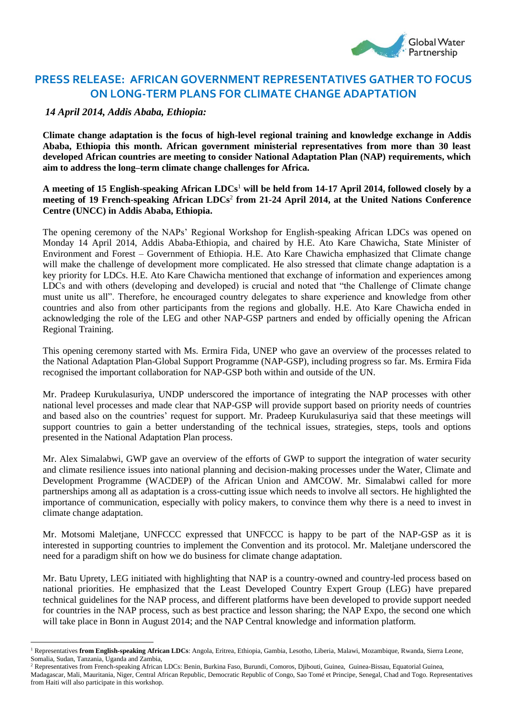

## **PRESS RELEASE: AFRICAN GOVERNMENT REPRESENTATIVES GATHER TO FOCUS ON LONG-TERM PLANS FOR CLIMATE CHANGE ADAPTATION**

## *14 April 2014, Addis Ababa, Ethiopia:*

<u>.</u>

**Climate change adaptation is the focus of high-level regional training and knowledge exchange in Addis Ababa, Ethiopia this month. African government ministerial representatives from more than 30 least developed African countries are meeting to consider National Adaptation Plan (NAP) requirements, which aim to address the long–term climate change challenges for Africa.**

## **A meeting of 15 English-speaking African LDCs**<sup>1</sup> **will be held from 14-17 April 2014, followed closely by a meeting of 19 French-speaking African LDCs**<sup>2</sup> **from 21-24 April 2014, at the United Nations Conference Centre (UNCC) in Addis Ababa, Ethiopia.**

The opening ceremony of the NAPs' Regional Workshop for English-speaking African LDCs was opened on Monday 14 April 2014, Addis Ababa-Ethiopia, and chaired by H.E. Ato Kare Chawicha, State Minister of Environment and Forest – Government of Ethiopia. H.E. Ato Kare Chawicha emphasized that Climate change will make the challenge of development more complicated. He also stressed that climate change adaptation is a key priority for LDCs. H.E. Ato Kare Chawicha mentioned that exchange of information and experiences among LDCs and with others (developing and developed) is crucial and noted that "the Challenge of Climate change must unite us all". Therefore, he encouraged country delegates to share experience and knowledge from other countries and also from other participants from the regions and globally. H.E. Ato Kare Chawicha ended in acknowledging the role of the LEG and other NAP-GSP partners and ended by officially opening the African Regional Training.

This opening ceremony started with Ms. Ermira Fida, UNEP who gave an overview of the processes related to the National Adaptation Plan-Global Support Programme (NAP-GSP), including progress so far. Ms. Ermira Fida recognised the important collaboration for NAP-GSP both within and outside of the UN.

Mr. Pradeep Kurukulasuriya, UNDP underscored the importance of integrating the NAP processes with other national level processes and made clear that NAP-GSP will provide support based on priority needs of countries and based also on the countries' request for support. Mr. Pradeep Kurukulasuriya said that these meetings will support countries to gain a better understanding of the technical issues, strategies, steps, tools and options presented in the National Adaptation Plan process.

Mr. Alex Simalabwi, GWP gave an overview of the efforts of GWP to support the integration of water security and climate resilience issues into national planning and decision-making processes under the Water, Climate and Development Programme (WACDEP) of the African Union and AMCOW. Mr. Simalabwi called for more partnerships among all as adaptation is a cross-cutting issue which needs to involve all sectors. He highlighted the importance of communication, especially with policy makers, to convince them why there is a need to invest in climate change adaptation.

Mr. Motsomi Maletjane, UNFCCC expressed that UNFCCC is happy to be part of the NAP-GSP as it is interested in supporting countries to implement the Convention and its protocol. Mr. Maletjane underscored the need for a paradigm shift on how we do business for climate change adaptation.

Mr. Batu Uprety, LEG initiated with highlighting that NAP is a country-owned and country-led process based on national priorities. He emphasized that the Least Developed Country Expert Group (LEG) have prepared technical guidelines for the NAP process, and different platforms have been developed to provide support needed for countries in the NAP process, such as best practice and lesson sharing; the NAP Expo, the second one which will take place in Bonn in August 2014; and the NAP Central knowledge and information platform.

<sup>1</sup> Representatives **from English-speaking African LDCs**: Angola, Eritrea, Ethiopia, Gambia, Lesotho, Liberia, Malawi, Mozambique, Rwanda, Sierra Leone, Somalia, Sudan, Tanzania, Uganda and Zambia,

<sup>&</sup>lt;sup>2</sup> Representatives from French-speaking African LDCs: Benin, Burkina Faso, Burundi, Comoros, Djibouti, Guinea, Guinea-Bissau, Equatorial Guinea, Madagascar, Mali, Mauritania, Niger, Central African Republic, Democratic Republic of Congo, Sao Tomé et Principe, Senegal, Chad and Togo. Representatives from Haiti will also participate in this workshop.